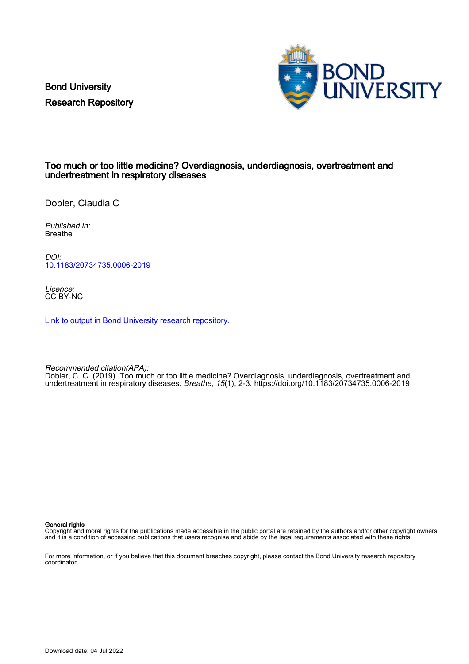Bond University Research Repository



## Too much or too little medicine? Overdiagnosis, underdiagnosis, overtreatment and undertreatment in respiratory diseases

Dobler, Claudia C

Published in: Breathe

DOI: [10.1183/20734735.0006-2019](https://doi.org/10.1183/20734735.0006-2019)

Licence: CC BY-NC

[Link to output in Bond University research repository.](https://research.bond.edu.au/en/publications/c29fa721-9d48-412e-b21a-df11c98086aa)

Recommended citation(APA):

Dobler, C. C. (2019). Too much or too little medicine? Overdiagnosis, underdiagnosis, overtreatment and undertreatment in respiratory diseases. Breathe, 15(1), 2-3.<https://doi.org/10.1183/20734735.0006-2019>

General rights

Copyright and moral rights for the publications made accessible in the public portal are retained by the authors and/or other copyright owners and it is a condition of accessing publications that users recognise and abide by the legal requirements associated with these rights.

For more information, or if you believe that this document breaches copyright, please contact the Bond University research repository coordinator.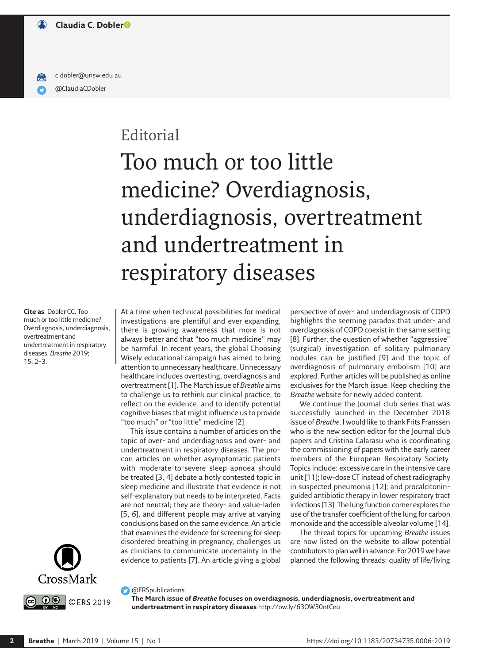[@ClaudiaCDobler](https://www.twitter.com/ClaudiaCDobler) [c.dobler@unsw.edu.au](mailto:c.dobler@unsw.edu.au)

# Editorial

# Too much or too little medicine? Overdiagnosis, underdiagnosis, overtreatment and undertreatment in respiratory diseases

**Cite as**: Dobler CC. Too much or too little medicine? Overdiagnosis, underdiagnosis, overtreatment and undertreatment in respiratory diseases. *Breathe* 2019; 15: 2–3.



At a time when technical possibilities for medical investigations are plentiful and ever expanding, there is growing awareness that more is not always better and that "too much medicine" may be harmful. In recent years, the global Choosing Wisely educational campaign has aimed to bring attention to unnecessary healthcare. Unnecessary healthcare includes overtesting, overdiagnosis and overtreatment [1]. The March issue of *Breathe* aims to challenge us to rethink our clinical practice, to reflect on the evidence, and to identify potential cognitive biases that might influence us to provide "too much" or "too little" medicine [2].

This issue contains a number of articles on the topic of over- and underdiagnosis and over- and undertreatment in respiratory diseases. The pro– con articles on whether asymptomatic patients with moderate-to-severe sleep apnoea should be treated [3, 4] debate a hotly contested topic in sleep medicine and illustrate that evidence is not self-explanatory but needs to be interpreted. Facts are not neutral; they are theory- and value-laden [5, 6], and different people may arrive at varying conclusions based on the same evidence. An article that examines the evidence for screening for sleep disordered breathing in pregnancy, challenges us as clinicians to communicate uncertainty in the evidence to patients [7]. An article giving a global

perspective of over- and underdiagnosis of COPD highlights the seeming paradox that under- and overdiagnosis of COPD coexist in the same setting [8]. Further, the question of whether "aggressive" (surgical) investigation of solitary pulmonary nodules can be justified [9] and the topic of overdiagnosis of pulmonary embolism [10] are explored. Further articles will be published as online exclusives for the March issue. Keep checking the *Breathe* website for newly added content.

We continue the Journal club series that was successfully launched in the December 2018 issue of *Breathe*. I would like to thank Frits Franssen who is the new section editor for the Journal club papers and Cristina Calarasu who is coordinating the commissioning of papers with the early career members of the European Respiratory Society. Topics include: excessive care in the intensive care unit [11]; low-dose CT instead of chest radiography in suspected pneumonia [12]; and procalcitoninguided antibiotic therapy in lower respiratory tract infections [13]. The lung function corner explores the use of the transfer coefficient of the lung for carbon monoxide and the accessible alveolar volume [14].

The thread topics for upcoming *Breathe* issues are now listed on the website to allow potential contributors to plan well in advance. For 2019 wehave planned the following threads: quality of life/living

### **C** @ERSpublications

**The March issue of** *Breathe* **focuses on overdiagnosis, underdiagnosis, overtreatment and undertreatment in respiratory diseases**<http://ow.ly/63OW30ntCeu>